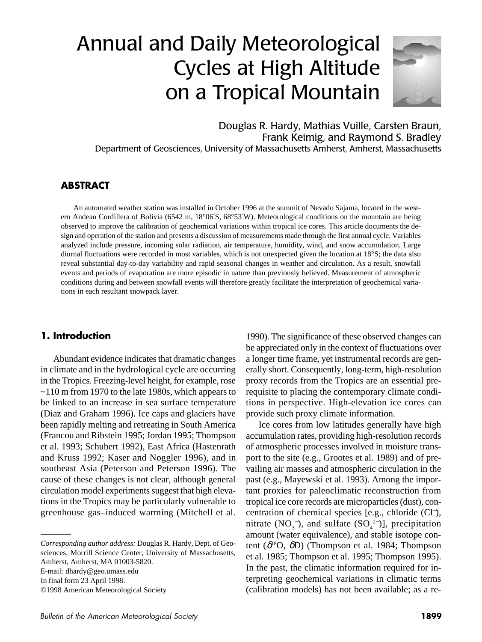# Annual and Daily Meteorological Cycles at High Altitude on a Tropical Mountain



Douglas R. Hardy, Mathias Vuille, Carsten Braun, Frank Keimig, and Raymond S. Bradley Department of Geosciences, University of Massachusetts Amherst, Amherst, Massachusetts

## **ABSTRACT**

An automated weather station was installed in October 1996 at the summit of Nevado Sajama, located in the western Andean Cordillera of Bolivia (6542 m, 18°06′S, 68°53′W). Meteorological conditions on the mountain are being observed to improve the calibration of geochemical variations within tropical ice cores. This article documents the design and operation of the station and presents a discussion of measurements made through the first annual cycle. Variables analyzed include pressure, incoming solar radiation, air temperature, humidity, wind, and snow accumulation. Large diurnal fluctuations were recorded in most variables, which is not unexpected given the location at 18°S; the data also reveal substantial day-to-day variability and rapid seasonal changes in weather and circulation. As a result, snowfall events and periods of evaporation are more episodic in nature than previously believed. Measurement of atmospheric conditions during and between snowfall events will therefore greatly facilitate the interpretation of geochemical variations in each resultant snowpack layer.

## **1. Introduction**

Abundant evidence indicates that dramatic changes in climate and in the hydrological cycle are occurring in the Tropics. Freezing-level height, for example, rose ~110 m from 1970 to the late 1980s, which appears to be linked to an increase in sea surface temperature (Diaz and Graham 1996). Ice caps and glaciers have been rapidly melting and retreating in South America (Francou and Ribstein 1995; Jordan 1995; Thompson et al. 1993; Schubert 1992), East Africa (Hastenrath and Kruss 1992; Kaser and Noggler 1996), and in southeast Asia (Peterson and Peterson 1996). The cause of these changes is not clear, although general circulation model experiments suggest that high elevations in the Tropics may be particularly vulnerable to greenhouse gas–induced warming (Mitchell et al.

*Corresponding author address:* Douglas R. Hardy, Dept. of Geosciences, Morrill Science Center, University of Massachusetts, Amherst, Amherst, MA 01003-5820. E-mail: dhardy@geo.umass.edu In final form 23 April 1998.

©1998 American Meteorological Society

1990). The significance of these observed changes can be appreciated only in the context of fluctuations over a longer time frame, yet instrumental records are generally short. Consequently, long-term, high-resolution proxy records from the Tropics are an essential prerequisite to placing the contemporary climate conditions in perspective. High-elevation ice cores can provide such proxy climate information.

Ice cores from low latitudes generally have high accumulation rates, providing high-resolution records of atmospheric processes involved in moisture transport to the site (e.g., Grootes et al. 1989) and of prevailing air masses and atmospheric circulation in the past (e.g., Mayewski et al. 1993). Among the important proxies for paleoclimatic reconstruction from tropical ice core records are microparticles (dust), concentration of chemical species [e.g., chloride (Cl<sup>−</sup> ), nitrate  $(NO<sub>3</sub><sup>-</sup>)$ , and sulfate  $(SO<sub>4</sub><sup>2-</sup>)$ , precipitation amount (water equivalence), and stable isotope content ( $\delta^{18}O$ ,  $\delta D$ ) (Thompson et al. 1984; Thompson et al. 1985; Thompson et al. 1995; Thompson 1995). In the past, the climatic information required for interpreting geochemical variations in climatic terms (calibration models) has not been available; as a re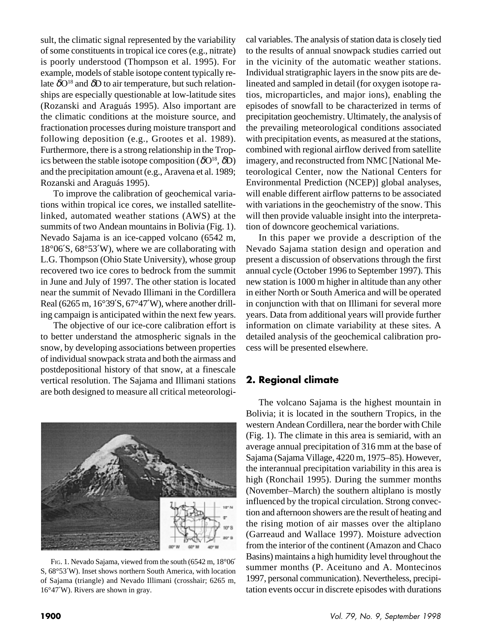sult, the climatic signal represented by the variability of some constituents in tropical ice cores (e.g., nitrate) is poorly understood (Thompson et al. 1995). For example, models of stable isotope content typically relate  $\delta O^{18}$  and  $\delta D$  to air temperature, but such relationships are especially questionable at low-latitude sites (Rozanski and Araguás 1995). Also important are the climatic conditions at the moisture source, and fractionation processes during moisture transport and following deposition (e.g., Grootes et al. 1989). Furthermore, there is a strong relationship in the Tropics between the stable isotope composition ( $\delta O^{18}$ ,  $\delta D$ ) and the precipitation amount (e.g., Aravena et al. 1989; Rozanski and Araguás 1995).

To improve the calibration of geochemical variations within tropical ice cores, we installed satellitelinked, automated weather stations (AWS) at the summits of two Andean mountains in Bolivia (Fig. 1). Nevado Sajama is an ice-capped volcano (6542 m, 18°06′S, 68°53′W), where we are collaborating with L.G. Thompson (Ohio State University), whose group recovered two ice cores to bedrock from the summit in June and July of 1997. The other station is located near the summit of Nevado Illimani in the Cordillera Real (6265 m, 16°39′S, 67°47′W), where another drilling campaign is anticipated within the next few years.

The objective of our ice-core calibration effort is to better understand the atmospheric signals in the snow, by developing associations between properties of individual snowpack strata and both the airmass and postdepositional history of that snow, at a finescale vertical resolution. The Sajama and Illimani stations are both designed to measure all critical meteorologi-



FIG. 1. Nevado Sajama, viewed from the south (6542 m, 18°06' S, 68°53′W). Inset shows northern South America, with location of Sajama (triangle) and Nevado Illimani (crosshair; 6265 m, 16°47′W). Rivers are shown in gray.

cal variables. The analysis of station data is closely tied to the results of annual snowpack studies carried out in the vicinity of the automatic weather stations. Individual stratigraphic layers in the snow pits are delineated and sampled in detail (for oxygen isotope ratios, microparticles, and major ions), enabling the episodes of snowfall to be characterized in terms of precipitation geochemistry. Ultimately, the analysis of the prevailing meteorological conditions associated with precipitation events, as measured at the stations, combined with regional airflow derived from satellite imagery, and reconstructed from NMC [National Meteorological Center, now the National Centers for Environmental Prediction (NCEP)] global analyses, will enable different airflow patterns to be associated with variations in the geochemistry of the snow. This will then provide valuable insight into the interpretation of downcore geochemical variations.

In this paper we provide a description of the Nevado Sajama station design and operation and present a discussion of observations through the first annual cycle (October 1996 to September 1997). This new station is 1000 m higher in altitude than any other in either North or South America and will be operated in conjunction with that on Illimani for several more years. Data from additional years will provide further information on climate variability at these sites. A detailed analysis of the geochemical calibration process will be presented elsewhere.

## **2. Regional climate**

The volcano Sajama is the highest mountain in Bolivia; it is located in the southern Tropics, in the western Andean Cordillera, near the border with Chile (Fig. 1). The climate in this area is semiarid, with an average annual precipitation of 316 mm at the base of Sajama (Sajama Village, 4220 m, 1975–85). However, the interannual precipitation variability in this area is high (Ronchail 1995). During the summer months (November–March) the southern altiplano is mostly influenced by the tropical circulation. Strong convection and afternoon showers are the result of heating and the rising motion of air masses over the altiplano (Garreaud and Wallace 1997). Moisture advection from the interior of the continent (Amazon and Chaco Basins) maintains a high humidity level throughout the summer months (P. Aceituno and A. Montecinos 1997, personal communication). Nevertheless, precipitation events occur in discrete episodes with durations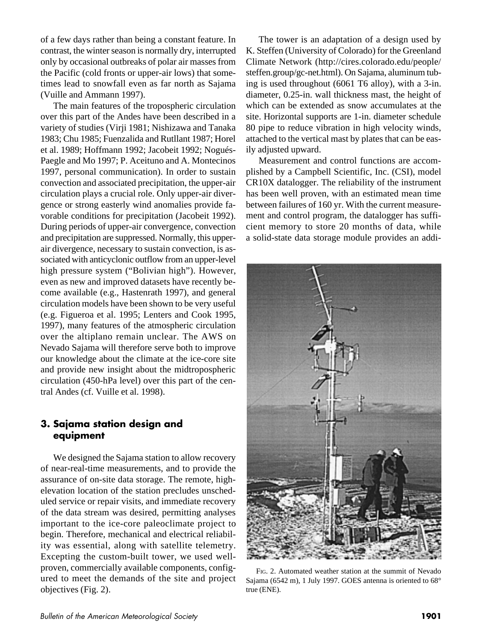of a few days rather than being a constant feature. In contrast, the winter season is normally dry, interrupted only by occasional outbreaks of polar air masses from the Pacific (cold fronts or upper-air lows) that sometimes lead to snowfall even as far north as Sajama (Vuille and Ammann 1997).

The main features of the tropospheric circulation over this part of the Andes have been described in a variety of studies (Virji 1981; Nishizawa and Tanaka 1983; Chu 1985; Fuenzalida and Rutllant 1987; Horel et al. 1989; Hoffmann 1992; Jacobeit 1992; Nogués-Paegle and Mo 1997; P. Aceituno and A. Montecinos 1997, personal communication). In order to sustain convection and associated precipitation, the upper-air circulation plays a crucial role. Only upper-air divergence or strong easterly wind anomalies provide favorable conditions for precipitation (Jacobeit 1992). During periods of upper-air convergence, convection and precipitation are suppressed. Normally, this upperair divergence, necessary to sustain convection, is associated with anticyclonic outflow from an upper-level high pressure system ("Bolivian high"). However, even as new and improved datasets have recently become available (e.g., Hastenrath 1997), and general circulation models have been shown to be very useful (e.g. Figueroa et al. 1995; Lenters and Cook 1995, 1997), many features of the atmospheric circulation over the altiplano remain unclear. The AWS on Nevado Sajama will therefore serve both to improve our knowledge about the climate at the ice-core site and provide new insight about the midtropospheric circulation (450-hPa level) over this part of the central Andes (cf. Vuille et al. 1998).

# **3. Sajama station design and equipment**

We designed the Sajama station to allow recovery of near-real-time measurements, and to provide the assurance of on-site data storage. The remote, highelevation location of the station precludes unscheduled service or repair visits, and immediate recovery of the data stream was desired, permitting analyses important to the ice-core paleoclimate project to begin. Therefore, mechanical and electrical reliability was essential, along with satellite telemetry. Excepting the custom-built tower, we used wellproven, commercially available components, configured to meet the demands of the site and project objectives (Fig. 2).

The tower is an adaptation of a design used by K. Steffen (University of Colorado) for the Greenland Climate Network (http://cires.colorado.edu/people/ steffen.group/gc-net.html). On Sajama, aluminum tubing is used throughout (6061 T6 alloy), with a 3-in. diameter, 0.25-in. wall thickness mast, the height of which can be extended as snow accumulates at the site. Horizontal supports are 1-in. diameter schedule 80 pipe to reduce vibration in high velocity winds, attached to the vertical mast by plates that can be easily adjusted upward.

Measurement and control functions are accomplished by a Campbell Scientific, Inc. (CSI), model CR10X datalogger. The reliability of the instrument has been well proven, with an estimated mean time between failures of 160 yr. With the current measurement and control program, the datalogger has sufficient memory to store 20 months of data, while a solid-state data storage module provides an addi-



FIG. 2. Automated weather station at the summit of Nevado Sajama (6542 m), 1 July 1997. GOES antenna is oriented to 68° true (ENE).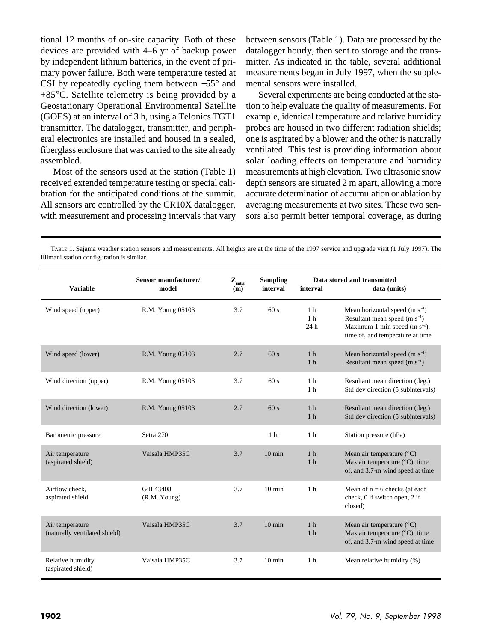tional 12 months of on-site capacity. Both of these devices are provided with 4–6 yr of backup power by independent lithium batteries, in the event of primary power failure. Both were temperature tested at CSI by repeatedly cycling them between −55° and +85°C. Satellite telemetry is being provided by a Geostationary Operational Environmental Satellite (GOES) at an interval of 3 h, using a Telonics TGT1 transmitter. The datalogger, transmitter, and peripheral electronics are installed and housed in a sealed, fiberglass enclosure that was carried to the site already assembled.

Most of the sensors used at the station (Table 1) received extended temperature testing or special calibration for the anticipated conditions at the summit. All sensors are controlled by the CR10X datalogger, with measurement and processing intervals that vary between sensors (Table 1). Data are processed by the datalogger hourly, then sent to storage and the transmitter. As indicated in the table, several additional measurements began in July 1997, when the supplemental sensors were installed.

Several experiments are being conducted at the station to help evaluate the quality of measurements. For example, identical temperature and relative humidity probes are housed in two different radiation shields; one is aspirated by a blower and the other is naturally ventilated. This test is providing information about solar loading effects on temperature and humidity measurements at high elevation. Two ultrasonic snow depth sensors are situated 2 m apart, allowing a more accurate determination of accumulation or ablation by averaging measurements at two sites. These two sensors also permit better temporal coverage, as during

TABLE 1. Sajama weather station sensors and measurements. All heights are at the time of the 1997 service and upgrade visit (1 July 1997). The Illimani station configuration is similar.

| <b>Variable</b>                                  | Sensor manufacturer/<br>model | $\mathbf{Z}_{\text{initial}}$<br>(m) | <b>Sampling</b><br>interval | Data stored and transmitted<br>interval<br>data (units) |                                                                                                             |
|--------------------------------------------------|-------------------------------|--------------------------------------|-----------------------------|---------------------------------------------------------|-------------------------------------------------------------------------------------------------------------|
| Wind speed (upper)                               | R.M. Young 05103              | 3.7                                  | 60s                         | 1 <sub>h</sub>                                          | Mean horizontal speed $(m s^{-1})$                                                                          |
|                                                  |                               |                                      |                             | 1 <sub>h</sub><br>24h                                   | Resultant mean speed $(m s^{-1})$<br>Maximum 1-min speed (m $s^{-1}$ ),<br>time of, and temperature at time |
| Wind speed (lower)                               | R.M. Young 05103              | 2.7                                  | 60s                         | 1 <sub>h</sub><br>1 <sub>h</sub>                        | Mean horizontal speed $(m s^{-1})$<br>Resultant mean speed $(m s^{-1})$                                     |
| Wind direction (upper)                           | R.M. Young 05103              | 3.7                                  | 60 s                        | 1 <sub>h</sub><br>1 <sub>h</sub>                        | Resultant mean direction (deg.)<br>Std dev direction (5 subintervals)                                       |
| Wind direction (lower)                           | R.M. Young 05103              | 2.7                                  | 60s                         | 1 <sub>h</sub><br>1 <sub>h</sub>                        | Resultant mean direction (deg.)<br>Std dev direction (5 subintervals)                                       |
| Barometric pressure                              | Setra 270                     |                                      | 1 <sub>hr</sub>             | 1 <sub>h</sub>                                          | Station pressure (hPa)                                                                                      |
| Air temperature<br>(aspirated shield)            | Vaisala HMP35C                | 3.7                                  | $10 \text{ min}$            | 1 <sub>h</sub><br>1 <sub>h</sub>                        | Mean air temperature $(^{\circ}C)$<br>Max air temperature (°C), time<br>of, and 3.7-m wind speed at time    |
| Airflow check.<br>aspirated shield               | Gill 43408<br>(R.M. Young)    | 3.7                                  | $10 \text{ min}$            | 1 <sub>h</sub>                                          | Mean of $n = 6$ checks (at each<br>check, 0 if switch open, 2 if<br>closed)                                 |
| Air temperature<br>(naturally ventilated shield) | Vaisala HMP35C                | 3.7                                  | $10 \text{ min}$            | 1 <sub>h</sub><br>1 <sub>h</sub>                        | Mean air temperature (°C)<br>Max air temperature $(^{\circ}C)$ , time<br>of, and 3.7-m wind speed at time   |
| Relative humidity<br>(aspirated shield)          | Vaisala HMP35C                | 3.7                                  | $10 \text{ min}$            | 1 <sub>h</sub>                                          | Mean relative humidity (%)                                                                                  |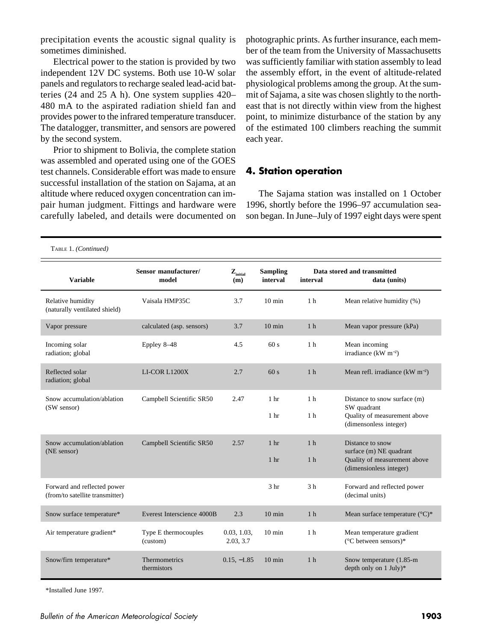precipitation events the acoustic signal quality is sometimes diminished.

Electrical power to the station is provided by two independent 12V DC systems. Both use 10-W solar panels and regulators to recharge sealed lead-acid batteries (24 and 25 A h). One system supplies 420– 480 mA to the aspirated radiation shield fan and provides power to the infrared temperature transducer. The datalogger, transmitter, and sensors are powered by the second system.

Prior to shipment to Bolivia, the complete station was assembled and operated using one of the GOES test channels. Considerable effort was made to ensure successful installation of the station on Sajama, at an altitude where reduced oxygen concentration can impair human judgment. Fittings and hardware were carefully labeled, and details were documented on

TABLE 1. *(Continued)*

photographic prints. As further insurance, each member of the team from the University of Massachusetts was sufficiently familiar with station assembly to lead the assembly effort, in the event of altitude-related physiological problems among the group. At the summit of Sajama, a site was chosen slightly to the northeast that is not directly within view from the highest point, to minimize disturbance of the station by any of the estimated 100 climbers reaching the summit each year.

## **4. Station operation**

The Sajama station was installed on 1 October 1996, shortly before the 1996–97 accumulation season began. In June–July of 1997 eight days were spent

| <b>Variable</b>                                                | Sensor manufacturer/<br>model       | $\mathbf{Z}_{\text{initial}}$<br>(m) | <b>Sampling</b><br>interval | interval       | Data stored and transmitted<br>data (units)             |
|----------------------------------------------------------------|-------------------------------------|--------------------------------------|-----------------------------|----------------|---------------------------------------------------------|
| Relative humidity<br>(naturally ventilated shield)             | Vaisala HMP35C                      | 3.7                                  | $10 \text{ min}$            | 1 <sub>h</sub> | Mean relative humidity (%)                              |
| Vapor pressure                                                 | calculated (asp. sensors)           | 3.7                                  | $10 \text{ min}$            | 1 <sub>h</sub> | Mean vapor pressure (kPa)                               |
| Incoming solar<br>radiation; global                            | Eppley 8-48                         | 4.5                                  | 60 s                        | 1 <sub>h</sub> | Mean incoming<br>irradiance (kW $m^{-2}$ )              |
| Reflected solar<br>radiation; global                           | LI-COR L1200X                       | 2.7                                  | 60 s                        | 1 <sub>h</sub> | Mean refl. irradiance (kW $m^{-2}$ )                    |
| Snow accumulation/ablation<br>(SW sensor)                      | Campbell Scientific SR50            | 2.47                                 | 1 <sub>hr</sub>             | 1 <sub>h</sub> | Distance to snow surface (m)<br>SW quadrant             |
|                                                                |                                     |                                      | 1 <sub>hr</sub>             | 1 <sub>h</sub> | Quality of measurement above<br>(dimensonless integer)  |
| Snow accumulation/ablation<br>(NE sensor)                      | Campbell Scientific SR50            | 2.57                                 | 1 <sub>hr</sub>             | 1 <sub>h</sub> | Distance to snow<br>surface (m) NE quadrant             |
|                                                                |                                     |                                      | 1 <sub>hr</sub>             | 1 <sub>h</sub> | Quality of measurement above<br>(dimensionless integer) |
| Forward and reflected power<br>(from/to satellite transmitter) |                                     |                                      | 3 <sub>hr</sub>             | 3 <sub>h</sub> | Forward and reflected power<br>(decimal units)          |
| Snow surface temperature*                                      | <b>Everest Interscience 4000B</b>   | 2.3                                  | $10 \text{ min}$            | 1 <sub>h</sub> | Mean surface temperature $(^{\circ}C)*$                 |
| Air temperature gradient*                                      | Type E thermocouples<br>(custom)    | 0.03, 1.03,<br>2.03, 3.7             | $10 \text{ min}$            | 1 <sub>h</sub> | Mean temperature gradient<br>(°C between sensors)*      |
| Snow/firn temperature*                                         | <b>Thermometrics</b><br>thermistors | $0.15, -1.85$                        | $10 \text{ min}$            | 1 <sub>h</sub> | Snow temperature (1.85-m)<br>depth only on $1$ July)*   |

\*Installed June 1997.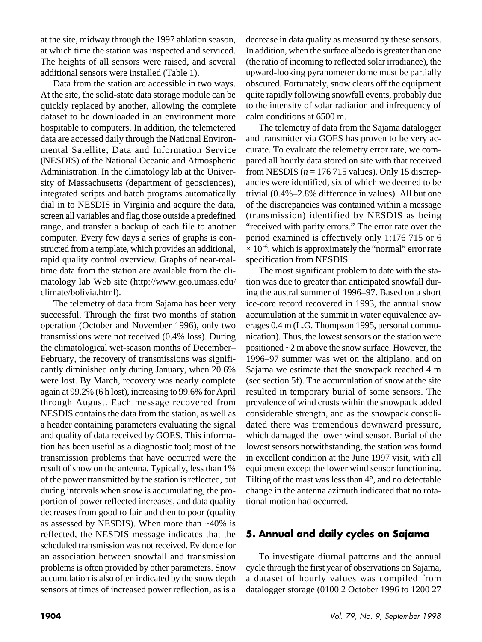at the site, midway through the 1997 ablation season, at which time the station was inspected and serviced. The heights of all sensors were raised, and several additional sensors were installed (Table 1).

Data from the station are accessible in two ways. At the site, the solid-state data storage module can be quickly replaced by another, allowing the complete dataset to be downloaded in an environment more hospitable to computers. In addition, the telemetered data are accessed daily through the National Environmental Satellite, Data and Information Service (NESDIS) of the National Oceanic and Atmospheric Administration. In the climatology lab at the University of Massachusetts (department of geosciences), integrated scripts and batch programs automatically dial in to NESDIS in Virginia and acquire the data, screen all variables and flag those outside a predefined range, and transfer a backup of each file to another computer. Every few days a series of graphs is constructed from a template, which provides an additional, rapid quality control overview. Graphs of near-realtime data from the station are available from the climatology lab Web site (http://www.geo.umass.edu/ climate/bolivia.html).

The telemetry of data from Sajama has been very successful. Through the first two months of station operation (October and November 1996), only two transmissions were not received (0.4% loss). During the climatological wet-season months of December– February, the recovery of transmissions was significantly diminished only during January, when 20.6% were lost. By March, recovery was nearly complete again at 99.2% (6 h lost), increasing to 99.6% for April through August. Each message recovered from NESDIS contains the data from the station, as well as a header containing parameters evaluating the signal and quality of data received by GOES. This information has been useful as a diagnostic tool; most of the transmission problems that have occurred were the result of snow on the antenna. Typically, less than 1% of the power transmitted by the station is reflected, but during intervals when snow is accumulating, the proportion of power reflected increases, and data quality decreases from good to fair and then to poor (quality as assessed by NESDIS). When more than ~40% is reflected, the NESDIS message indicates that the scheduled transmission was not received. Evidence for an association between snowfall and transmission problems is often provided by other parameters. Snow accumulation is also often indicated by the snow depth sensors at times of increased power reflection, as is a

decrease in data quality as measured by these sensors. In addition, when the surface albedo is greater than one (the ratio of incoming to reflected solar irradiance), the upward-looking pyranometer dome must be partially obscured. Fortunately, snow clears off the equipment quite rapidly following snowfall events, probably due to the intensity of solar radiation and infrequency of calm conditions at 6500 m.

The telemetry of data from the Sajama datalogger and transmitter via GOES has proven to be very accurate. To evaluate the telemetry error rate, we compared all hourly data stored on site with that received from NESDIS (*n* = 176 715 values). Only 15 discrepancies were identified, six of which we deemed to be trivial (0.4%–2.8% difference in values). All but one of the discrepancies was contained within a message (transmission) identified by NESDIS as being "received with parity errors." The error rate over the period examined is effectively only 1:176 715 or 6 × 10−<sup>6</sup> , which is approximately the "normal" error rate specification from NESDIS.

The most significant problem to date with the station was due to greater than anticipated snowfall during the austral summer of 1996–97. Based on a short ice-core record recovered in 1993, the annual snow accumulation at the summit in water equivalence averages 0.4 m (L.G. Thompson 1995, personal communication). Thus, the lowest sensors on the station were positioned ~2 m above the snow surface. However, the 1996–97 summer was wet on the altiplano, and on Sajama we estimate that the snowpack reached 4 m (see section 5f). The accumulation of snow at the site resulted in temporary burial of some sensors. The prevalence of wind crusts within the snowpack added considerable strength, and as the snowpack consolidated there was tremendous downward pressure, which damaged the lower wind sensor. Burial of the lowest sensors notwithstanding, the station was found in excellent condition at the June 1997 visit, with all equipment except the lower wind sensor functioning. Tilting of the mast was less than 4°, and no detectable change in the antenna azimuth indicated that no rotational motion had occurred.

# **5. Annual and daily cycles on Sajama**

To investigate diurnal patterns and the annual cycle through the first year of observations on Sajama, a dataset of hourly values was compiled from datalogger storage (0100 2 October 1996 to 1200 27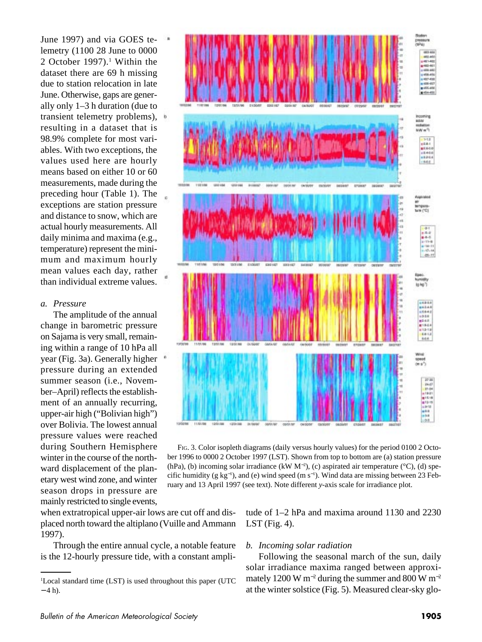June 1997) and via GOES telemetry (1100 28 June to 0000 2 October 1997). $<sup>1</sup>$  Within the</sup> dataset there are 69 h missing due to station relocation in late June. Otherwise, gaps are generally only 1–3 h duration (due to transient telemetry problems),  $\bullet$ resulting in a dataset that is 98.9% complete for most variables. With two exceptions, the values used here are hourly means based on either 10 or 60 measurements, made during the preceding hour (Table 1). The exceptions are station pressure and distance to snow, which are actual hourly measurements. All daily minima and maxima (e.g., temperature) represent the minimum and maximum hourly mean values each day, rather than individual extreme values.

### *a. Pressure*

The amplitude of the annual change in barometric pressure on Sajama is very small, remaining within a range of 10 hPa all year (Fig. 3a). Generally higher pressure during an extended summer season (i.e., November–April) reflects the establishment of an annually recurring, upper-air high ("Bolivian high") over Bolivia. The lowest annual pressure values were reached during Southern Hemisphere winter in the course of the northward displacement of the planetary west wind zone, and winter season drops in pressure are mainly restricted to single events,



FIG. 3. Color isopleth diagrams (daily versus hourly values) for the period 0100 2 October 1996 to 0000 2 October 1997 (LST). Shown from top to bottom are (a) station pressure (hPa), (b) incoming solar irradiance (kW  $M^{-2}$ ), (c) aspirated air temperature (°C), (d) specific humidity (g kg<sup>−</sup><sup>1</sup> ), and (e) wind speed (m s<sup>−</sup><sup>1</sup> ). Wind data are missing between 23 February and 13 April 1997 (see text). Note different *y*-axis scale for irradiance plot.

when extratropical upper-air lows are cut off and displaced north toward the altiplano (Vuille and Ammann 1997).

Through the entire annual cycle, a notable feature is the 12-hourly pressure tide, with a constant amplitude of 1–2 hPa and maxima around 1130 and 2230 LST (Fig. 4).

## *b. Incoming solar radiation*

Following the seasonal march of the sun, daily solar irradiance maxima ranged between approximately 1200 W m<sup>-2</sup> during the summer and 800 W m<sup>-2</sup> at the winter solstice (Fig. 5). Measured clear-sky glo-

<sup>&</sup>lt;sup>1</sup>Local standard time (LST) is used throughout this paper (UTC  $-4 h$ ).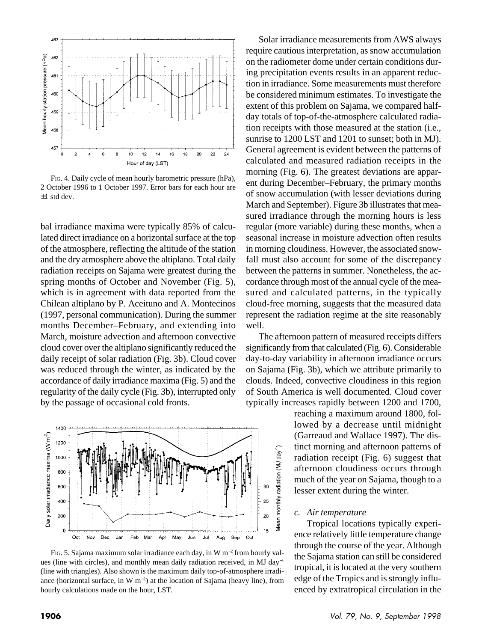

FIG. 4. Daily cycle of mean hourly barometric pressure (hPa), 2 October 1996 to 1 October 1997. Error bars for each hour are ±1 std dev.

bal irradiance maxima were typically 85% of calculated direct irradiance on a horizontal surface at the top of the atmosphere, reflecting the altitude of the station and the dry atmosphere above the altiplano. Total daily radiation receipts on Sajama were greatest during the spring months of October and November (Fig. 5), which is in agreement with data reported from the Chilean altiplano by P. Aceituno and A. Montecinos (1997, personal communication). During the summer months December–February, and extending into March, moisture advection and afternoon convective cloud cover over the altiplano significantly reduced the daily receipt of solar radiation (Fig. 3b). Cloud cover was reduced through the winter, as indicated by the accordance of daily irradiance maxima (Fig. 5) and the regularity of the daily cycle (Fig. 3b), interrupted only by the passage of occasional cold fronts.



FIG. 5. Sajama maximum solar irradiance each day, in W m<sup>−</sup><sup>2</sup> from hourly values (line with circles), and monthly mean daily radiation received, in MJ day<sup>−</sup><sup>1</sup> (line with triangles). Also shown is the maximum daily top-of-atmosphere irradiance (horizontal surface, in W m<sup>−</sup><sup>2</sup> ) at the location of Sajama (heavy line), from hourly calculations made on the hour, LST.

Solar irradiance measurements from AWS always require cautious interpretation, as snow accumulation on the radiometer dome under certain conditions during precipitation events results in an apparent reduction in irradiance. Some measurements must therefore be considered minimum estimates. To investigate the extent of this problem on Sajama, we compared halfday totals of top-of-the-atmosphere calculated radiation receipts with those measured at the station (i.e., sunrise to 1200 LST and 1201 to sunset; both in MJ). General agreement is evident between the patterns of calculated and measured radiation receipts in the morning (Fig. 6). The greatest deviations are apparent during December–February, the primary months of snow accumulation (with lesser deviations during March and September). Figure 3b illustrates that measured irradiance through the morning hours is less regular (more variable) during these months, when a seasonal increase in moisture advection often results in morning cloudiness. However, the associated snowfall must also account for some of the discrepancy between the patterns in summer. Nonetheless, the accordance through most of the annual cycle of the measured and calculated patterns, in the typically cloud-free morning, suggests that the measured data represent the radiation regime at the site reasonably well.

The afternoon pattern of measured receipts differs significantly from that calculated (Fig. 6). Considerable day-to-day variability in afternoon irradiance occurs on Sajama (Fig. 3b), which we attribute primarily to clouds. Indeed, convective cloudiness in this region of South America is well documented. Cloud cover typically increases rapidly between 1200 and 1700,

> reaching a maximum around 1800, followed by a decrease until midnight (Garreaud and Wallace 1997). The distinct morning and afternoon patterns of radiation receipt (Fig. 6) suggest that afternoon cloudiness occurs through much of the year on Sajama, though to a lesser extent during the winter.

#### *c. Air temperature*

Tropical locations typically experience relatively little temperature change through the course of the year. Although the Sajama station can still be considered tropical, it is located at the very southern edge of the Tropics and is strongly influenced by extratropical circulation in the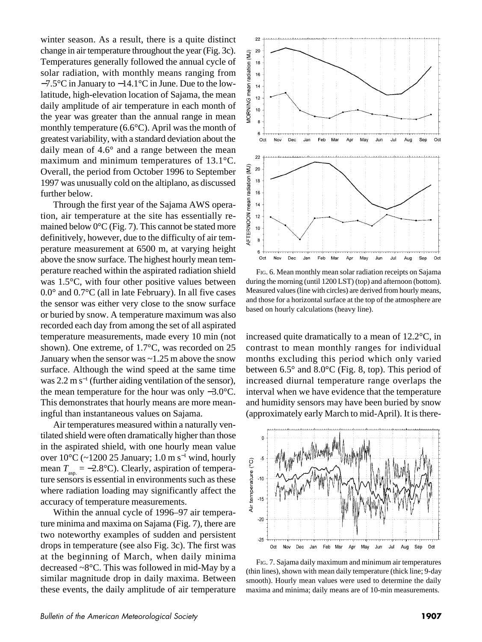winter season. As a result, there is a quite distinct change in air temperature throughout the year (Fig. 3c). Temperatures generally followed the annual cycle of solar radiation, with monthly means ranging from −7.5°C in January to −14.1°C in June. Due to the lowlatitude, high-elevation location of Sajama, the mean daily amplitude of air temperature in each month of the year was greater than the annual range in mean monthly temperature (6.6°C). April was the month of greatest variability, with a standard deviation about the daily mean of 4.6° and a range between the mean maximum and minimum temperatures of 13.1°C. Overall, the period from October 1996 to September 1997 was unusually cold on the altiplano, as discussed further below.

Through the first year of the Sajama AWS operation, air temperature at the site has essentially remained below  $0^{\circ}$ C (Fig. 7). This cannot be stated more definitively, however, due to the difficulty of air temperature measurement at 6500 m, at varying height above the snow surface. The highest hourly mean temperature reached within the aspirated radiation shield was 1.5°C, with four other positive values between 0.0° and 0.7°C (all in late February). In all five cases the sensor was either very close to the snow surface or buried by snow. A temperature maximum was also recorded each day from among the set of all aspirated temperature measurements, made every 10 min (not shown). One extreme, of 1.7°C, was recorded on 25 January when the sensor was  $\sim$  1.25 m above the snow surface. Although the wind speed at the same time was 2.2 m s<sup>-1</sup> (further aiding ventilation of the sensor), the mean temperature for the hour was only −3.0°C. This demonstrates that hourly means are more meaningful than instantaneous values on Sajama.

Air temperatures measured within a naturally ventilated shield were often dramatically higher than those in the aspirated shield, with one hourly mean value over  $10^{\circ}$ C (~1200 25 January; 1.0 m s<sup>-1</sup> wind, hourly mean  $T_{\text{an}} = -2.8$ °C). Clearly, aspiration of temperature sensors is essential in environments such as these where radiation loading may significantly affect the accuracy of temperature measurements.

Within the annual cycle of 1996–97 air temperature minima and maxima on Sajama (Fig. 7), there are two noteworthy examples of sudden and persistent drops in temperature (see also Fig. 3c). The first was at the beginning of March, when daily minima decreased ~8°C. This was followed in mid-May by a similar magnitude drop in daily maxima. Between these events, the daily amplitude of air temperature



FIG. 6. Mean monthly mean solar radiation receipts on Sajama during the morning (until 1200 LST) (top) and afternoon (bottom). Measured values (line with circles) are derived from hourly means, and those for a horizontal surface at the top of the atmosphere are based on hourly calculations (heavy line).

increased quite dramatically to a mean of 12.2°C, in contrast to mean monthly ranges for individual months excluding this period which only varied between  $6.5^{\circ}$  and  $8.0^{\circ}$ C (Fig. 8, top). This period of increased diurnal temperature range overlaps the interval when we have evidence that the temperature and humidity sensors may have been buried by snow (approximately early March to mid-April). It is there-



FIG. 7. Sajama daily maximum and minimum air temperatures (thin lines), shown with mean daily temperature (thick line; 9-day smooth). Hourly mean values were used to determine the daily maxima and minima; daily means are of 10-min measurements.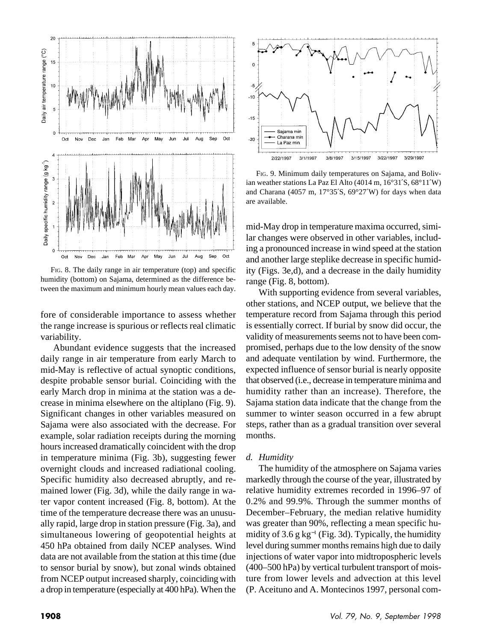

FIG. 8. The daily range in air temperature (top) and specific humidity (bottom) on Sajama, determined as the difference between the maximum and minimum hourly mean values each day.

fore of considerable importance to assess whether the range increase is spurious or reflects real climatic variability.

Abundant evidence suggests that the increased daily range in air temperature from early March to mid-May is reflective of actual synoptic conditions, despite probable sensor burial. Coinciding with the early March drop in minima at the station was a decrease in minima elsewhere on the altiplano (Fig. 9). Significant changes in other variables measured on Sajama were also associated with the decrease. For example, solar radiation receipts during the morning hours increased dramatically coincident with the drop in temperature minima (Fig. 3b), suggesting fewer overnight clouds and increased radiational cooling. Specific humidity also decreased abruptly, and remained lower (Fig. 3d), while the daily range in water vapor content increased (Fig. 8, bottom). At the time of the temperature decrease there was an unusually rapid, large drop in station pressure (Fig. 3a), and simultaneous lowering of geopotential heights at 450 hPa obtained from daily NCEP analyses. Wind data are not available from the station at this time (due to sensor burial by snow), but zonal winds obtained from NCEP output increased sharply, coinciding with a drop in temperature (especially at 400 hPa). When the



FIG. 9. Minimum daily temperatures on Sajama, and Bolivian weather stations La Paz El Alto (4014 m, 16°31′S, 68°11′W) and Charana (4057 m, 17°35′S, 69°27′W) for days when data are available.

mid-May drop in temperature maxima occurred, similar changes were observed in other variables, including a pronounced increase in wind speed at the station and another large steplike decrease in specific humidity (Figs. 3e,d), and a decrease in the daily humidity range (Fig. 8, bottom).

With supporting evidence from several variables, other stations, and NCEP output, we believe that the temperature record from Sajama through this period is essentially correct. If burial by snow did occur, the validity of measurements seems not to have been compromised, perhaps due to the low density of the snow and adequate ventilation by wind. Furthermore, the expected influence of sensor burial is nearly opposite that observed (i.e., decrease in temperature minima and humidity rather than an increase). Therefore, the Sajama station data indicate that the change from the summer to winter season occurred in a few abrupt steps, rather than as a gradual transition over several months.

#### *d. Humidity*

The humidity of the atmosphere on Sajama varies markedly through the course of the year, illustrated by relative humidity extremes recorded in 1996–97 of 0.2% and 99.9%. Through the summer months of December–February, the median relative humidity was greater than 90%, reflecting a mean specific humidity of 3.6 g kg−<sup>1</sup> (Fig. 3d). Typically, the humidity level during summer months remains high due to daily injections of water vapor into midtropospheric levels (400–500 hPa) by vertical turbulent transport of moisture from lower levels and advection at this level (P. Aceituno and A. Montecinos 1997, personal com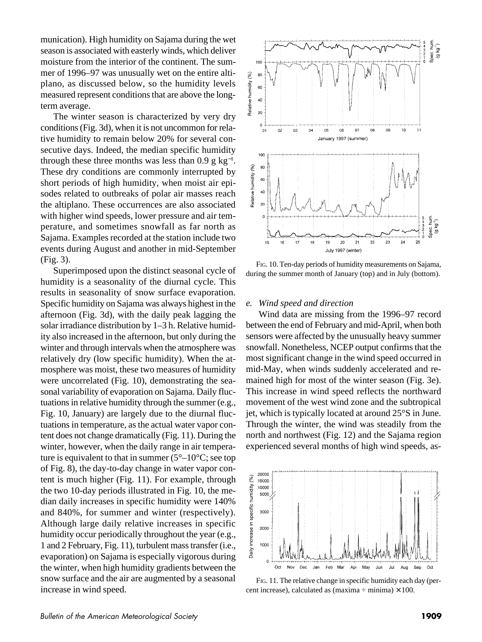munication). High humidity on Sajama during the wet season is associated with easterly winds, which deliver moisture from the interior of the continent. The summer of 1996–97 was unusually wet on the entire altiplano, as discussed below, so the humidity levels measured represent conditions that are above the longterm average.

The winter season is characterized by very dry conditions (Fig. 3d), when it is not uncommon for relative humidity to remain below 20% for several consecutive days. Indeed, the median specific humidity through these three months was less than  $0.9$  g kg<sup>-1</sup>. These dry conditions are commonly interrupted by short periods of high humidity, when moist air episodes related to outbreaks of polar air masses reach the altiplano. These occurrences are also associated with higher wind speeds, lower pressure and air temperature, and sometimes snowfall as far north as Sajama. Examples recorded at the station include two events during August and another in mid-September (Fig. 3).

Superimposed upon the distinct seasonal cycle of humidity is a seasonality of the diurnal cycle. This results in seasonality of snow surface evaporation. Specific humidity on Sajama was always highest in the afternoon (Fig. 3d), with the daily peak lagging the solar irradiance distribution by 1–3 h. Relative humidity also increased in the afternoon, but only during the winter and through intervals when the atmosphere was relatively dry (low specific humidity). When the atmosphere was moist, these two measures of humidity were uncorrelated (Fig. 10), demonstrating the seasonal variability of evaporation on Sajama. Daily fluctuations in relative humidity through the summer (e.g., Fig. 10, January) are largely due to the diurnal fluctuations in temperature, as the actual water vapor content does not change dramatically (Fig. 11). During the winter, however, when the daily range in air temperature is equivalent to that in summer  $(5^{\circ}-10^{\circ}C)$ ; see top of Fig. 8), the day-to-day change in water vapor content is much higher (Fig. 11). For example, through the two 10-day periods illustrated in Fig. 10, the median daily increases in specific humidity were 140% and 840%, for summer and winter (respectively). Although large daily relative increases in specific humidity occur periodically throughout the year (e.g., 1 and 2 February, Fig. 11), turbulent mass transfer (i.e., evaporation) on Sajama is especially vigorous during the winter, when high humidity gradients between the snow surface and the air are augmented by a seasonal increase in wind speed.



FIG. 10. Ten-day periods of humidity measurements on Sajama, during the summer month of January (top) and in July (bottom).

#### *e. Wind speed and direction*

Wind data are missing from the 1996–97 record between the end of February and mid-April, when both sensors were affected by the unusually heavy summer snowfall. Nonetheless, NCEP output confirms that the most significant change in the wind speed occurred in mid-May, when winds suddenly accelerated and remained high for most of the winter season (Fig. 3e). This increase in wind speed reflects the northward movement of the west wind zone and the subtropical jet, which is typically located at around 25°S in June. Through the winter, the wind was steadily from the north and northwest (Fig. 12) and the Sajama region experienced several months of high wind speeds, as-



FIG. 11. The relative change in specific humidity each day (percent increase), calculated as  $(maxima \div minima) \times 100$ .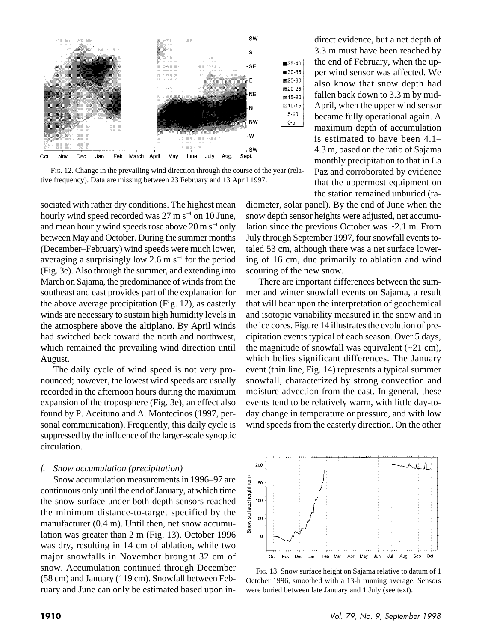

FIG. 12. Change in the prevailing wind direction through the course of the year (relative frequency). Data are missing between 23 February and 13 April 1997.

sociated with rather dry conditions. The highest mean hourly wind speed recorded was  $27 \text{ m s}^{-1}$  on 10 June, and mean hourly wind speeds rose above 20 m s<sup>-1</sup> only between May and October. During the summer months (December–February) wind speeds were much lower, averaging a surprisingly low 2.6 m s<sup>−</sup><sup>1</sup> for the period (Fig. 3e). Also through the summer, and extending into March on Sajama, the predominance of winds from the southeast and east provides part of the explanation for the above average precipitation (Fig. 12), as easterly winds are necessary to sustain high humidity levels in the atmosphere above the altiplano. By April winds had switched back toward the north and northwest, which remained the prevailing wind direction until August.

The daily cycle of wind speed is not very pronounced; however, the lowest wind speeds are usually recorded in the afternoon hours during the maximum expansion of the troposphere (Fig. 3e), an effect also found by P. Aceituno and A. Montecinos (1997, personal communication). Frequently, this daily cycle is suppressed by the influence of the larger-scale synoptic circulation.

#### *f. Snow accumulation (precipitation)*

Snow accumulation measurements in 1996–97 are continuous only until the end of January, at which time the snow surface under both depth sensors reached the minimum distance-to-target specified by the manufacturer (0.4 m). Until then, net snow accumulation was greater than 2 m (Fig. 13). October 1996 was dry, resulting in 14 cm of ablation, while two major snowfalls in November brought 32 cm of snow. Accumulation continued through December (58 cm) and January (119 cm). Snowfall between February and June can only be estimated based upon indirect evidence, but a net depth of 3.3 m must have been reached by the end of February, when the upper wind sensor was affected. We also know that snow depth had fallen back down to 3.3 m by mid-April, when the upper wind sensor became fully operational again. A maximum depth of accumulation is estimated to have been 4.1– 4.3 m, based on the ratio of Sajama monthly precipitation to that in La Paz and corroborated by evidence that the uppermost equipment on the station remained unburied (ra-

diometer, solar panel). By the end of June when the snow depth sensor heights were adjusted, net accumulation since the previous October was ~2.1 m. From July through September 1997, four snowfall events totaled 53 cm, although there was a net surface lowering of 16 cm, due primarily to ablation and wind scouring of the new snow.

There are important differences between the summer and winter snowfall events on Sajama, a result that will bear upon the interpretation of geochemical and isotopic variability measured in the snow and in the ice cores. Figure 14 illustrates the evolution of precipitation events typical of each season. Over 5 days, the magnitude of snowfall was equivalent  $(\sim 21 \text{ cm})$ , which belies significant differences. The January event (thin line, Fig. 14) represents a typical summer snowfall, characterized by strong convection and moisture advection from the east. In general, these events tend to be relatively warm, with little day-today change in temperature or pressure, and with low wind speeds from the easterly direction. On the other



FIG. 13. Snow surface height on Sajama relative to datum of 1 October 1996, smoothed with a 13-h running average. Sensors were buried between late January and 1 July (see text).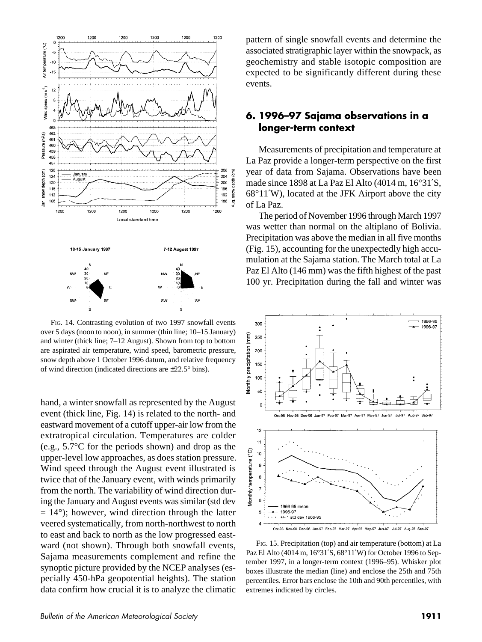

FIG. 14. Contrasting evolution of two 1997 snowfall events over 5 days (noon to noon), in summer (thin line; 10–15 January) and winter (thick line; 7–12 August). Shown from top to bottom are aspirated air temperature, wind speed, barometric pressure, snow depth above 1 October 1996 datum, and relative frequency of wind direction (indicated directions are ±22.5° bins).

hand, a winter snowfall as represented by the August event (thick line, Fig. 14) is related to the north- and eastward movement of a cutoff upper-air low from the extratropical circulation. Temperatures are colder (e.g., 5.7°C for the periods shown) and drop as the upper-level low approaches, as does station pressure. Wind speed through the August event illustrated is twice that of the January event, with winds primarily from the north. The variability of wind direction during the January and August events was similar (std dev  $= 14^{\circ}$ ); however, wind direction through the latter veered systematically, from north-northwest to north to east and back to north as the low progressed eastward (not shown). Through both snowfall events, Sajama measurements complement and refine the synoptic picture provided by the NCEP analyses (especially 450-hPa geopotential heights). The station data confirm how crucial it is to analyze the climatic

pattern of single snowfall events and determine the associated stratigraphic layer within the snowpack, as geochemistry and stable isotopic composition are expected to be significantly different during these events.

## **6. 1996–97 Sajama observations in a longer-term context**

Measurements of precipitation and temperature at La Paz provide a longer-term perspective on the first year of data from Sajama. Observations have been made since 1898 at La Paz El Alto (4014 m, 16°31′S, 68°11′W), located at the JFK Airport above the city of La Paz.

The period of November 1996 through March 1997 was wetter than normal on the altiplano of Bolivia. Precipitation was above the median in all five months (Fig. 15), accounting for the unexpectedly high accumulation at the Sajama station. The March total at La Paz El Alto (146 mm) was the fifth highest of the past 100 yr. Precipitation during the fall and winter was



FIG. 15. Precipitation (top) and air temperature (bottom) at La Paz El Alto (4014 m, 16°31′S, 68°11′W) for October 1996 to September 1997, in a longer-term context (1996–95). Whisker plot boxes illustrate the median (line) and enclose the 25th and 75th percentiles. Error bars enclose the 10th and 90th percentiles, with extremes indicated by circles.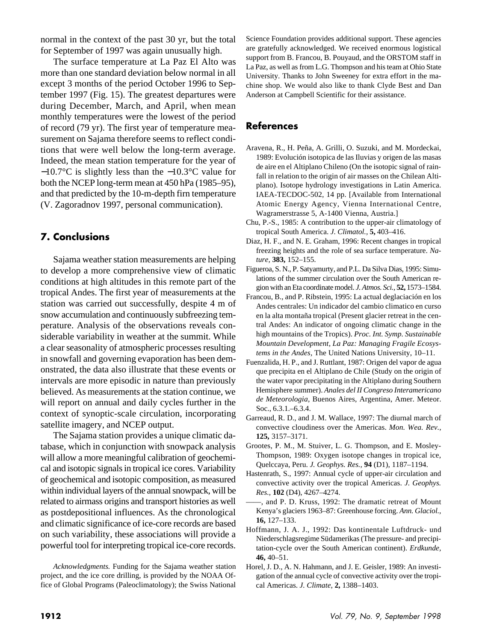normal in the context of the past 30 yr, but the total for September of 1997 was again unusually high.

The surface temperature at La Paz El Alto was more than one standard deviation below normal in all except 3 months of the period October 1996 to September 1997 (Fig. 15). The greatest departures were during December, March, and April, when mean monthly temperatures were the lowest of the period of record (79 yr). The first year of temperature measurement on Sajama therefore seems to reflect conditions that were well below the long-term average. Indeed, the mean station temperature for the year of −10.7°C is slightly less than the −10.3°C value for both the NCEP long-term mean at 450 hPa (1985–95), and that predicted by the 10-m-depth firn temperature (V. Zagoradnov 1997, personal communication).

# **7. Conclusions**

Sajama weather station measurements are helping to develop a more comprehensive view of climatic conditions at high altitudes in this remote part of the tropical Andes. The first year of measurements at the station was carried out successfully, despite 4 m of snow accumulation and continuously subfreezing temperature. Analysis of the observations reveals considerable variability in weather at the summit. While a clear seasonality of atmospheric processes resulting in snowfall and governing evaporation has been demonstrated, the data also illustrate that these events or intervals are more episodic in nature than previously believed. As measurements at the station continue, we will report on annual and daily cycles further in the context of synoptic-scale circulation, incorporating satellite imagery, and NCEP output.

The Sajama station provides a unique climatic database, which in conjunction with snowpack analysis will allow a more meaningful calibration of geochemical and isotopic signals in tropical ice cores. Variability of geochemical and isotopic composition, as measured within individual layers of the annual snowpack, will be related to airmass origins and transport histories as well as postdepositional influences. As the chronological and climatic significance of ice-core records are based on such variability, these associations will provide a powerful tool for interpreting tropical ice-core records.

*Acknowledgments.* Funding for the Sajama weather station project, and the ice core drilling, is provided by the NOAA Office of Global Programs (Paleoclimatology); the Swiss National Science Foundation provides additional support. These agencies are gratefully acknowledged. We received enormous logistical support from B. Francou, B. Pouyaud, and the ORSTOM staff in La Paz, as well as from L.G. Thompson and his team at Ohio State University. Thanks to John Sweeney for extra effort in the machine shop. We would also like to thank Clyde Best and Dan Anderson at Campbell Scientific for their assistance.

## **References**

- Aravena, R., H. Peña, A. Grilli, O. Suzuki, and M. Mordeckai, 1989: Evolución isotopica de las Iluvias y origen de las masas de aire en el Altiplano Chileno (On the isotopic signal of rainfall in relation to the origin of air masses on the Chilean Altiplano). Isotope hydrology investigations in Latin America. IAEA-TECDOC-502, 14 pp. [Available from International Atomic Energy Agency, Vienna International Centre, Wagramerstrasse 5, A-1400 Vienna, Austria.]
- Chu, P.-S., 1985: A contribution to the upper-air climatology of tropical South America. *J. Climatol.,* **5,** 403–416.
- Diaz, H. F., and N. E. Graham, 1996: Recent changes in tropical freezing heights and the role of sea surface temperature. *Nature,* **383,** 152–155.
- Figueroa, S. N., P. Satyamurty, and P.L. Da Silva Dias, 1995: Simulations of the summer circulation over the South American region with an Eta coordinate model. *J. Atmos. Sci.,* **52,** 1573–1584.
- Francou, B., and P. Ribstein, 1995: La actual deglaciación en los Andes centrales: Un indicador del cambio climatico en curso en la alta montaña tropical (Present glacier retreat in the central Andes: An indicator of ongoing climatic change in the high mountains of the Tropics). *Proc. Int. Symp. Sustainable Mountain Development, La Paz: Managing Fragile Ecosystems in the Andes,* The United Nations University, 10–11.
- Fuenzalida, H. P., and J. Ruttlant, 1987: Origen del vapor de agua que precipita en el Altiplano de Chile (Study on the origin of the water vapor precipitating in the Altiplano during Southern Hemisphere summer). *Anales del II Congreso Interamericano de Meteorologia,* Buenos Aires, Argentina, Amer. Meteor. Soc., 6.3.1.–6.3.4.
- Garreaud, R. D., and J. M. Wallace, 1997: The diurnal march of convective cloudiness over the Americas. *Mon. Wea. Rev.,* **125,** 3157–3171.
- Grootes, P. M., M. Stuiver, L. G. Thompson, and E. Mosley-Thompson, 1989: Oxygen isotope changes in tropical ice, Quelccaya, Peru. *J. Geophys. Res.,* **94** (D1), 1187–1194.
- Hastenrath, S., 1997: Annual cycle of upper-air circulation and convective activity over the tropical Americas. *J. Geophys. Res.,* **102** (D4), 4267–4274.
- ——, and P. D. Kruss, 1992: The dramatic retreat of Mount Kenya's glaciers 1963–87: Greenhouse forcing. *Ann. Glaciol.,* **16,** 127–133.
- Hoffmann, J. A. J., 1992: Das kontinentale Luftdruck- und Niederschlagsregime Südamerikas (The pressure- and precipitation-cycle over the South American continent). *Erdkunde,* **46,** 40–51.
- Horel, J. D., A. N. Hahmann, and J. E. Geisler, 1989: An investigation of the annual cycle of convective activity over the tropical Americas. *J. Climate,* **2,** 1388–1403.